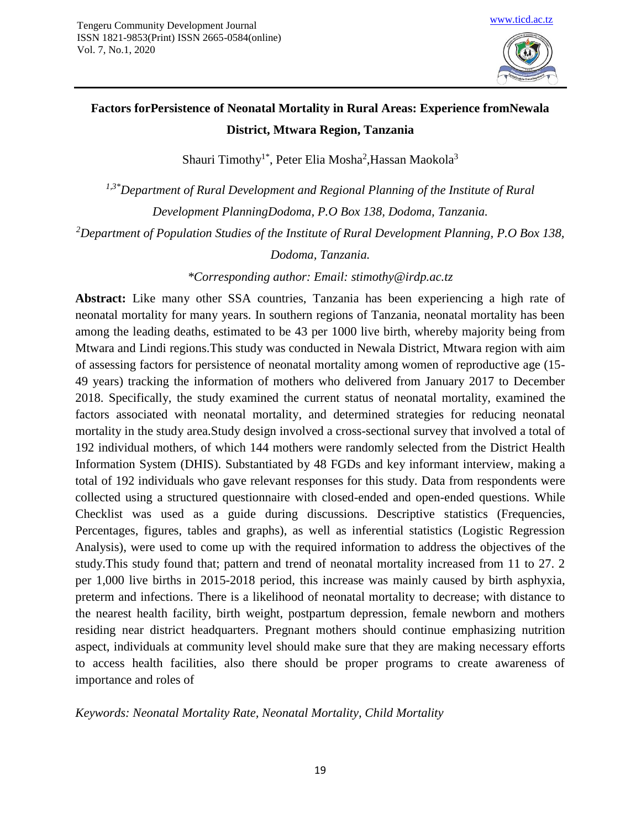

# **Factors forPersistence of Neonatal Mortality in Rural Areas: Experience fromNewala District, Mtwara Region, Tanzania**

Shauri Timothy<sup>1\*</sup>, Peter Elia Mosha<sup>2</sup>,Hassan Maokola<sup>3</sup>

*1,3\*Department of Rural Development and Regional Planning of the Institute of Rural Development PlanningDodoma, P.O Box 138, Dodoma, Tanzania. <sup>2</sup>Department of Population Studies of the Institute of Rural Development Planning, P.O Box 138,* 

*Dodoma, Tanzania.*

*\*Corresponding author: Email: [stimothy@irdp.ac.tz](mailto:stimothy@irdp.ac.tz)*

**Abstract:** Like many other SSA countries, Tanzania has been experiencing a high rate of neonatal mortality for many years. In southern regions of Tanzania, neonatal mortality has been among the leading deaths, estimated to be 43 per 1000 live birth, whereby majority being from Mtwara and Lindi regions.This study was conducted in Newala District, Mtwara region with aim of assessing factors for persistence of neonatal mortality among women of reproductive age (15- 49 years) tracking the information of mothers who delivered from January 2017 to December 2018. Specifically, the study examined the current status of neonatal mortality, examined the factors associated with neonatal mortality, and determined strategies for reducing neonatal mortality in the study area.Study design involved a cross-sectional survey that involved a total of 192 individual mothers, of which 144 mothers were randomly selected from the District Health Information System (DHIS). Substantiated by 48 FGDs and key informant interview, making a total of 192 individuals who gave relevant responses for this study. Data from respondents were collected using a structured questionnaire with closed-ended and open-ended questions. While Checklist was used as a guide during discussions. Descriptive statistics (Frequencies, Percentages, figures, tables and graphs), as well as inferential statistics (Logistic Regression Analysis), were used to come up with the required information to address the objectives of the study.This study found that; pattern and trend of neonatal mortality increased from 11 to 27. 2 per 1,000 live births in 2015-2018 period, this increase was mainly caused by birth asphyxia, preterm and infections. There is a likelihood of neonatal mortality to decrease; with distance to the nearest health facility, birth weight, postpartum depression, female newborn and mothers residing near district headquarters. Pregnant mothers should continue emphasizing nutrition aspect, individuals at community level should make sure that they are making necessary efforts to access health facilities, also there should be proper programs to create awareness of importance and roles of

*Keywords: Neonatal Mortality Rate, Neonatal Mortality, Child Mortality*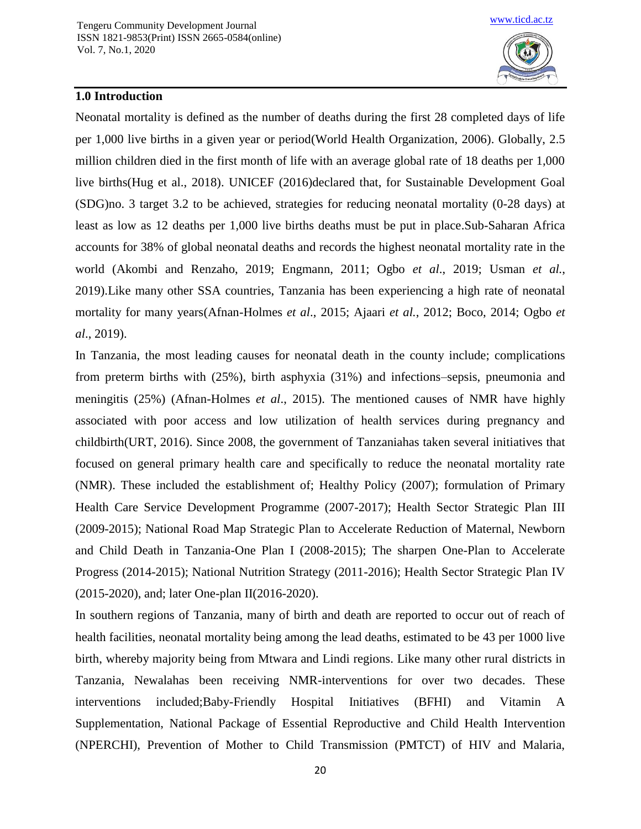

## **1.0 Introduction**

Neonatal mortality is defined as the number of deaths during the first 28 completed days of life per 1,000 live births in a given year or period(World Health Organization, 2006). Globally, 2.5 million children died in the first month of life with an average global rate of 18 deaths per 1,000 live births(Hug et al., 2018). UNICEF (2016)declared that, for Sustainable Development Goal (SDG)no. 3 target 3.2 to be achieved, strategies for reducing neonatal mortality (0-28 days) at least as low as 12 deaths per 1,000 live births deaths must be put in place.Sub-Saharan Africa accounts for 38% of global neonatal deaths and records the highest neonatal mortality rate in the world (Akombi and Renzaho, 2019; Engmann, 2011; Ogbo *et al*., 2019; Usman *et al.*, 2019).Like many other SSA countries, Tanzania has been experiencing a high rate of neonatal mortality for many years(Afnan-Holmes *et al*., 2015; Ajaari *et al.*, 2012; Boco, 2014; Ogbo *et al*., 2019).

In Tanzania, the most leading causes for neonatal death in the county include; complications from preterm births with (25%), birth asphyxia (31%) and infections–sepsis, pneumonia and meningitis (25%) (Afnan-Holmes *et al*., 2015). The mentioned causes of NMR have highly associated with poor access and low utilization of health services during pregnancy and childbirth(URT, 2016). Since 2008, the government of Tanzaniahas taken several initiatives that focused on general primary health care and specifically to reduce the neonatal mortality rate (NMR). These included the establishment of; Healthy Policy (2007); formulation of Primary Health Care Service Development Programme (2007-2017); Health Sector Strategic Plan III (2009-2015); National Road Map Strategic Plan to Accelerate Reduction of Maternal, Newborn and Child Death in Tanzania-One Plan I (2008-2015); The sharpen One-Plan to Accelerate Progress (2014-2015); National Nutrition Strategy (2011-2016); Health Sector Strategic Plan IV (2015-2020), and; later One-plan II(2016-2020).

In southern regions of Tanzania, many of birth and death are reported to occur out of reach of health facilities, neonatal mortality being among the lead deaths, estimated to be 43 per 1000 live birth, whereby majority being from Mtwara and Lindi regions. Like many other rural districts in Tanzania, Newalahas been receiving NMR-interventions for over two decades. These interventions included;Baby-Friendly Hospital Initiatives (BFHI) and Vitamin A Supplementation, National Package of Essential Reproductive and Child Health Intervention (NPERCHI), Prevention of Mother to Child Transmission (PMTCT) of HIV and Malaria,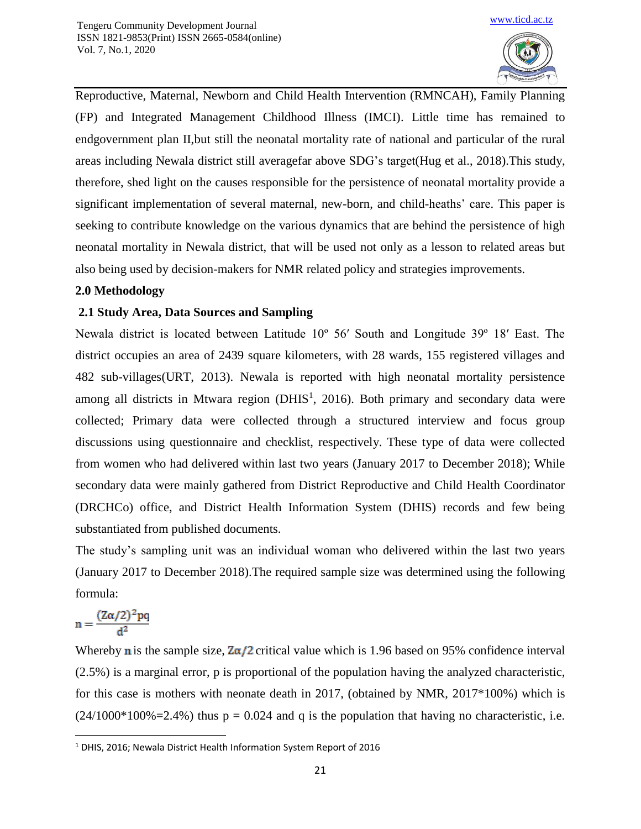

Reproductive, Maternal, Newborn and Child Health Intervention (RMNCAH), Family Planning (FP) and Integrated Management Childhood Illness (IMCI). Little time has remained to endgovernment plan II,but still the neonatal mortality rate of national and particular of the rural areas including Newala district still averagefar above SDG's target(Hug et al., 2018).This study, therefore, shed light on the causes responsible for the persistence of neonatal mortality provide a significant implementation of several maternal, new-born, and child-heaths' care. This paper is seeking to contribute knowledge on the various dynamics that are behind the persistence of high neonatal mortality in Newala district, that will be used not only as a lesson to related areas but also being used by decision-makers for NMR related policy and strategies improvements.

## **2.0 Methodology**

## **2.1 Study Area, Data Sources and Sampling**

Newala district is located between Latitude 10º 56′ South and Longitude 39º 18′ East. The district occupies an area of 2439 square kilometers, with 28 wards, 155 registered villages and 482 sub-villages(URT, 2013). Newala is reported with high neonatal mortality persistence among all districts in Mtwara region ( $DHIS<sup>1</sup>$ , 2016). Both primary and secondary data were collected; Primary data were collected through a structured interview and focus group discussions using questionnaire and checklist, respectively. These type of data were collected from women who had delivered within last two years (January 2017 to December 2018); While secondary data were mainly gathered from District Reproductive and Child Health Coordinator (DRCHCo) office, and District Health Information System (DHIS) records and few being substantiated from published documents.

The study's sampling unit was an individual woman who delivered within the last two years (January 2017 to December 2018).The required sample size was determined using the following formula:

$$
n=\frac{(Z\alpha/2)^2pq}{d^2}
$$

Whereby **n** is the sample size,  $\frac{Z\alpha}{2}$  critical value which is 1.96 based on 95% confidence interval (2.5%) is a marginal error, p is proportional of the population having the analyzed characteristic, for this case is mothers with neonate death in 2017, (obtained by NMR, 2017\*100%) which is  $(24/1000*100\% = 2.4\%)$  thus  $p = 0.024$  and q is the population that having no characteristic, i.e.

 $\overline{\phantom{a}}$ <sup>1</sup> DHIS, 2016; Newala District Health Information System Report of 2016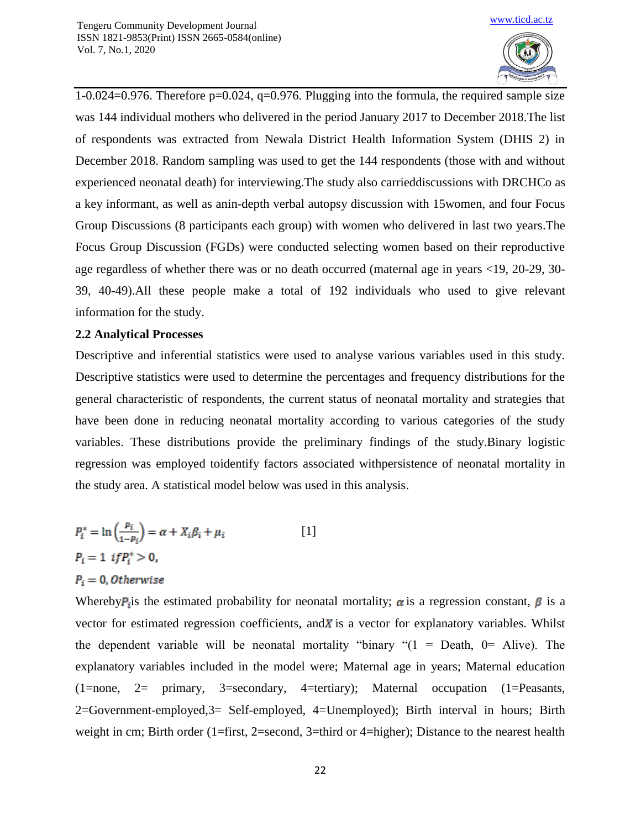

1-0.024=0.976. Therefore p=0.024, q=0.976. Plugging into the formula, the required sample size was 144 individual mothers who delivered in the period January 2017 to December 2018.The list of respondents was extracted from Newala District Health Information System (DHIS 2) in December 2018. Random sampling was used to get the 144 respondents (those with and without experienced neonatal death) for interviewing.The study also carrieddiscussions with DRCHCo as a key informant, as well as anin-depth verbal autopsy discussion with 15women, and four Focus Group Discussions (8 participants each group) with women who delivered in last two years.The Focus Group Discussion (FGDs) were conducted selecting women based on their reproductive age regardless of whether there was or no death occurred (maternal age in years <19, 20-29, 30- 39, 40-49).All these people make a total of 192 individuals who used to give relevant information for the study.

#### **2.2 Analytical Processes**

Descriptive and inferential statistics were used to analyse various variables used in this study. Descriptive statistics were used to determine the percentages and frequency distributions for the general characteristic of respondents, the current status of neonatal mortality and strategies that have been done in reducing neonatal mortality according to various categories of the study variables. These distributions provide the preliminary findings of the study.Binary logistic regression was employed toidentify factors associated withpersistence of neonatal mortality in the study area. A statistical model below was used in this analysis.

$$
P_i^* = \ln\left(\frac{p_i}{1 - p_i}\right) = \alpha + X_i \beta_i + \mu_i
$$
 [1]  

$$
P_i = 1 \text{ if } P_i^* > 0,
$$

## $P_i = 0$ , Otherwise

Whereby  $P_i$  is the estimated probability for neonatal mortality;  $\alpha$  is a regression constant,  $\beta$  is a vector for estimated regression coefficients, and  $\chi$  is a vector for explanatory variables. Whilst the dependent variable will be neonatal mortality "binary " $(1 = Death, 0 = Alive)$ . The explanatory variables included in the model were; Maternal age in years; Maternal education (1=none, 2= primary, 3=secondary, 4=tertiary); Maternal occupation (1=Peasants, 2=Government-employed,3= Self-employed, 4=Unemployed); Birth interval in hours; Birth weight in cm; Birth order (1=first, 2=second, 3=third or 4=higher); Distance to the nearest health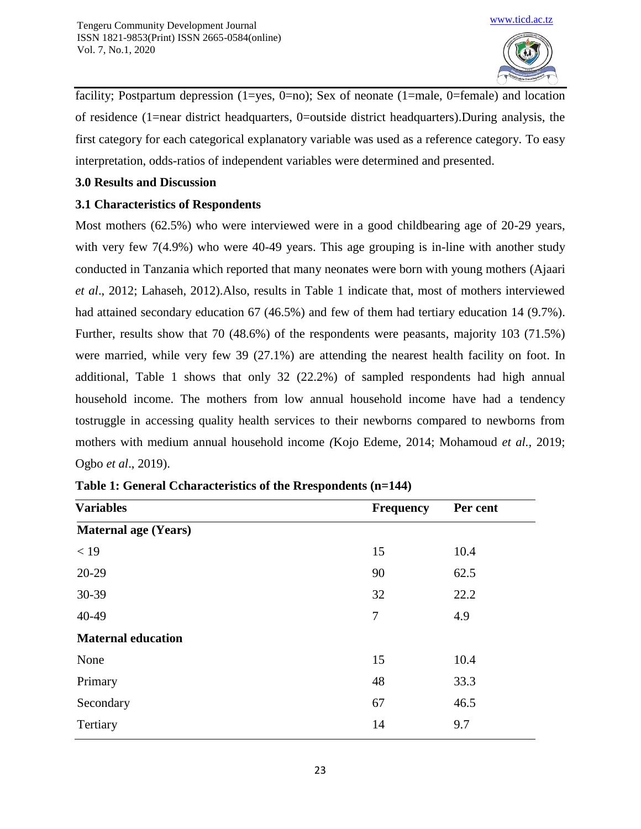

facility; Postpartum depression (1=yes, 0=no); Sex of neonate (1=male, 0=female) and location of residence (1=near district headquarters, 0=outside district headquarters).During analysis, the first category for each categorical explanatory variable was used as a reference category. To easy interpretation, odds-ratios of independent variables were determined and presented.

# **3.0 Results and Discussion**

# **3.1 Characteristics of Respondents**

Most mothers (62.5%) who were interviewed were in a good childbearing age of 20-29 years, with very few 7(4.9%) who were 40-49 years. This age grouping is in-line with another study conducted in Tanzania which reported that many neonates were born with young mothers (Ajaari *et al*., 2012; Lahaseh, 2012).Also, results in Table 1 indicate that, most of mothers interviewed had attained secondary education 67 (46.5%) and few of them had tertiary education 14 (9.7%). Further, results show that 70 (48.6%) of the respondents were peasants, majority 103 (71.5%) were married, while very few 39 (27.1%) are attending the nearest health facility on foot. In additional, Table 1 shows that only 32 (22.2%) of sampled respondents had high annual household income. The mothers from low annual household income have had a tendency tostruggle in accessing quality health services to their newborns compared to newborns from mothers with medium annual household income *(*Kojo Edeme, 2014; Mohamoud *et al.,* 2019; Ogbo *et al*., 2019).

| <b>Variables</b>            | <b>Frequency</b> | Per cent |
|-----------------------------|------------------|----------|
| <b>Maternal age (Years)</b> |                  |          |
| < 19                        | 15               | 10.4     |
| 20-29                       | 90               | 62.5     |
| 30-39                       | 32               | 22.2     |
| 40-49                       | $\overline{7}$   | 4.9      |
| <b>Maternal education</b>   |                  |          |
| None                        | 15               | 10.4     |
| Primary                     | 48               | 33.3     |
| Secondary                   | 67               | 46.5     |
| Tertiary                    | 14               | 9.7      |

|  | Table 1: General Ccharacteristics of the Rrespondents (n=144) |  |
|--|---------------------------------------------------------------|--|
|--|---------------------------------------------------------------|--|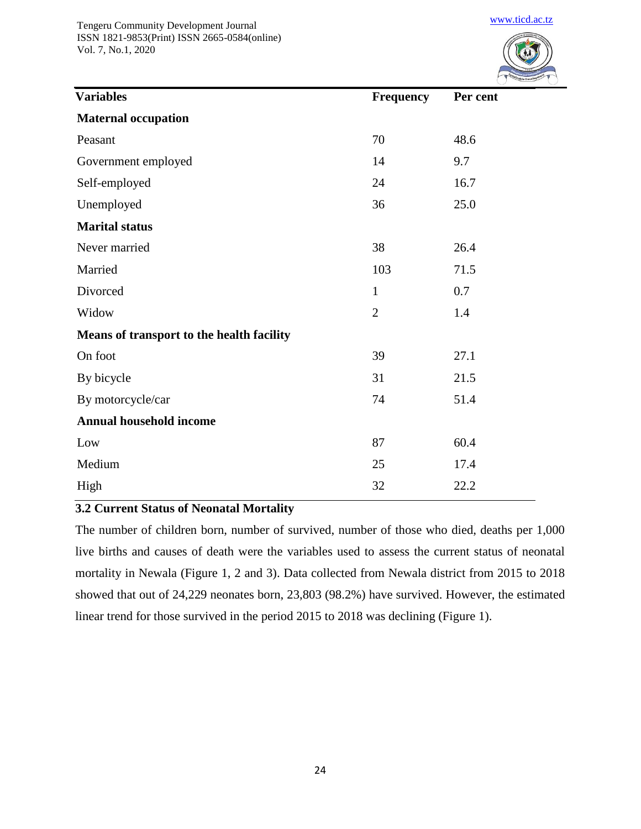

[www.ticd.ac.tz](http://www.ticd.ac.tz/)

| <b>Variables</b>                          | <b>Frequency</b> | Per cent |
|-------------------------------------------|------------------|----------|
| <b>Maternal occupation</b>                |                  |          |
| Peasant                                   | 70               | 48.6     |
| Government employed                       | 14               | 9.7      |
| Self-employed                             | 24               | 16.7     |
| Unemployed                                | 36               | 25.0     |
| <b>Marital status</b>                     |                  |          |
| Never married                             | 38               | 26.4     |
| Married                                   | 103              | 71.5     |
| Divorced                                  | $\mathbf{1}$     | 0.7      |
| Widow                                     | $\overline{2}$   | 1.4      |
| Means of transport to the health facility |                  |          |
| On foot                                   | 39               | 27.1     |
| By bicycle                                | 31               | 21.5     |
| By motorcycle/car                         | 74               | 51.4     |
| <b>Annual household income</b>            |                  |          |
| Low                                       | 87               | 60.4     |
| Medium                                    | 25               | 17.4     |
| High                                      | 32               | 22.2     |

## **3.2 Current Status of Neonatal Mortality**

The number of children born, number of survived, number of those who died, deaths per 1,000 live births and causes of death were the variables used to assess the current status of neonatal mortality in Newala (Figure 1, 2 and 3). Data collected from Newala district from 2015 to 2018 showed that out of 24,229 neonates born, 23,803 (98.2%) have survived. However, the estimated linear trend for those survived in the period 2015 to 2018 was declining (Figure 1).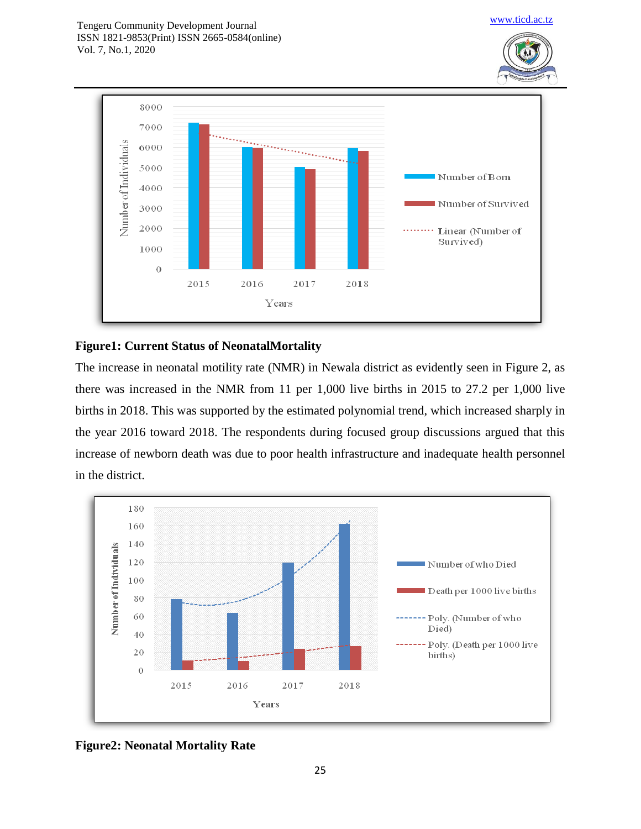



# **Figure1: Current Status of NeonatalMortality**

The increase in neonatal motility rate (NMR) in Newala district as evidently seen in Figure 2, as there was increased in the NMR from 11 per 1,000 live births in 2015 to 27.2 per 1,000 live births in 2018. This was supported by the estimated polynomial trend, which increased sharply in the year 2016 toward 2018. The respondents during focused group discussions argued that this increase of newborn death was due to poor health infrastructure and inadequate health personnel in the district.



**Figure2: Neonatal Mortality Rate**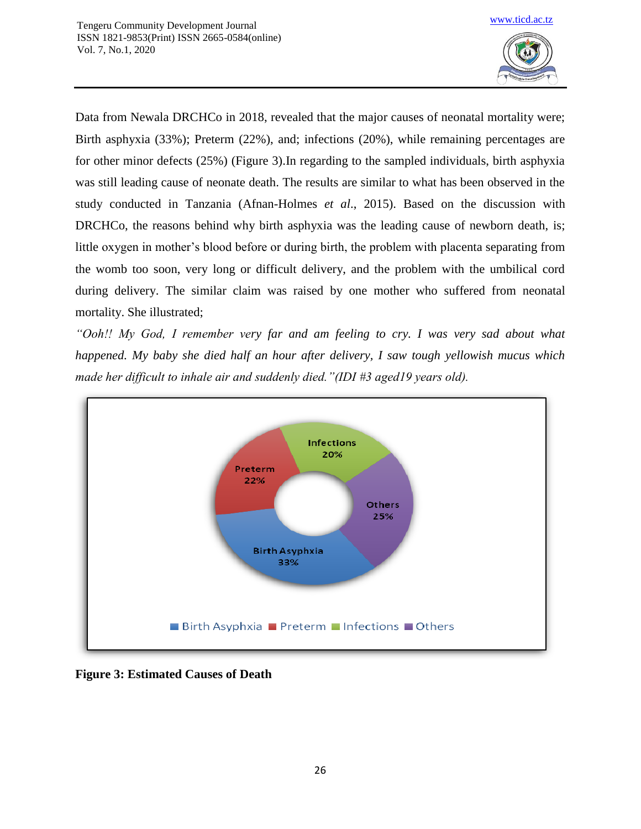

Data from Newala DRCHCo in 2018, revealed that the major causes of neonatal mortality were; Birth asphyxia (33%); Preterm (22%), and; infections (20%), while remaining percentages are for other minor defects (25%) (Figure 3).In regarding to the sampled individuals, birth asphyxia was still leading cause of neonate death. The results are similar to what has been observed in the study conducted in Tanzania (Afnan-Holmes *et al*., 2015). Based on the discussion with DRCHCo, the reasons behind why birth asphyxia was the leading cause of newborn death, is; little oxygen in mother's blood before or during birth, the problem with placenta separating from the womb too soon, very long or difficult delivery, and the problem with the umbilical cord during delivery. The similar claim was raised by one mother who suffered from neonatal mortality. She illustrated;

*"Ooh!! My God, I remember very far and am feeling to cry. I was very sad about what happened. My baby she died half an hour after delivery, I saw tough yellowish mucus which made her difficult to inhale air and suddenly died."(IDI #3 aged19 years old).*



**Figure 3: Estimated Causes of Death**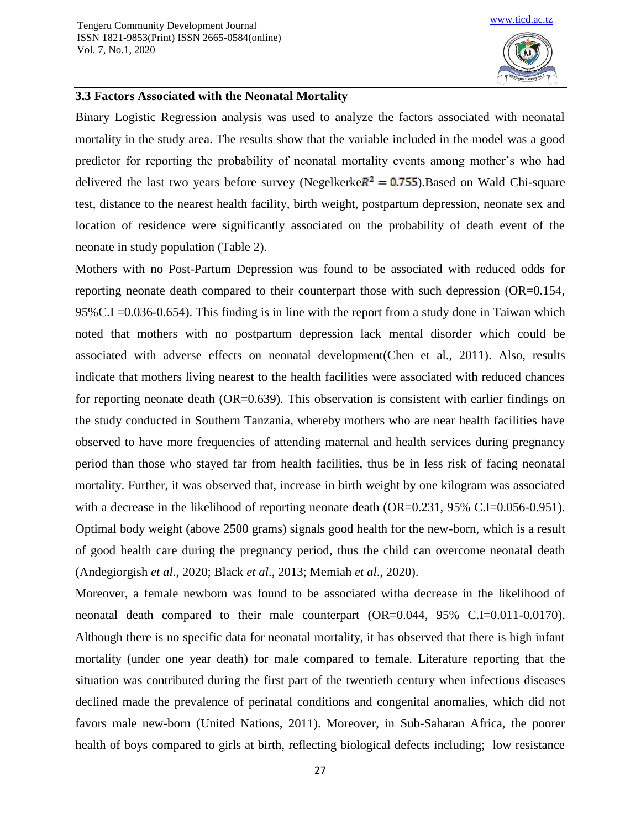

#### **3.3 Factors Associated with the Neonatal Mortality**

Binary Logistic Regression analysis was used to analyze the factors associated with neonatal mortality in the study area. The results show that the variable included in the model was a good predictor for reporting the probability of neonatal mortality events among mother's who had delivered the last two years before survey (Negelkerke  $R^2 = 0.755$ ). Based on Wald Chi-square test, distance to the nearest health facility, birth weight, postpartum depression, neonate sex and location of residence were significantly associated on the probability of death event of the neonate in study population (Table 2).

Mothers with no Post-Partum Depression was found to be associated with reduced odds for reporting neonate death compared to their counterpart those with such depression (OR=0.154, 95%C.I =0.036-0.654). This finding is in line with the report from a study done in Taiwan which noted that mothers with no postpartum depression lack mental disorder which could be associated with adverse effects on neonatal development(Chen et al., 2011). Also, results indicate that mothers living nearest to the health facilities were associated with reduced chances for reporting neonate death (OR=0.639). This observation is consistent with earlier findings on the study conducted in Southern Tanzania, whereby mothers who are near health facilities have observed to have more frequencies of attending maternal and health services during pregnancy period than those who stayed far from health facilities, thus be in less risk of facing neonatal mortality. Further, it was observed that, increase in birth weight by one kilogram was associated with a decrease in the likelihood of reporting neonate death (OR=0.231, 95% C.I=0.056-0.951). Optimal body weight (above 2500 grams) signals good health for the new-born, which is a result of good health care during the pregnancy period, thus the child can overcome neonatal death (Andegiorgish *et al*., 2020; Black *et al*., 2013; Memiah *et al*., 2020).

Moreover, a female newborn was found to be associated witha decrease in the likelihood of neonatal death compared to their male counterpart (OR=0.044, 95% C.I=0.011-0.0170). Although there is no specific data for neonatal mortality, it has observed that there is high infant mortality (under one year death) for male compared to female. Literature reporting that the situation was contributed during the first part of the twentieth century when infectious diseases declined made the prevalence of perinatal conditions and congenital anomalies, which did not favors male new-born (United Nations, 2011). Moreover, in Sub-Saharan Africa, the poorer health of boys compared to girls at birth, reflecting biological defects including; low resistance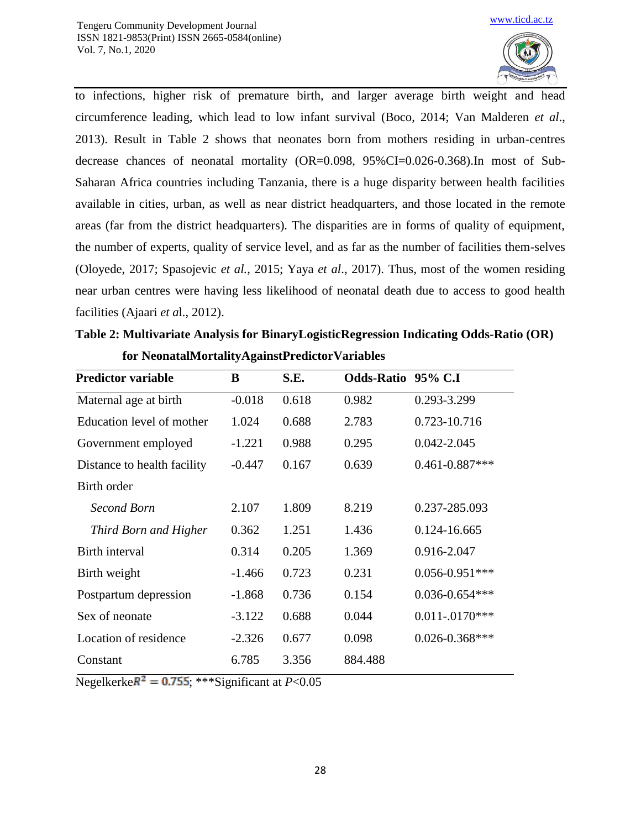

to infections, higher risk of premature birth, and larger average birth weight and head circumference leading, which lead to low infant survival (Boco, 2014; Van Malderen *et al*., 2013). Result in Table 2 shows that neonates born from mothers residing in urban-centres decrease chances of neonatal mortality (OR=0.098, 95%CI=0.026-0.368).In most of Sub-Saharan Africa countries including Tanzania, there is a huge disparity between health facilities available in cities, urban, as well as near district headquarters, and those located in the remote areas (far from the district headquarters). The disparities are in forms of quality of equipment, the number of experts, quality of service level, and as far as the number of facilities them-selves (Oloyede, 2017; Spasojevic *et al.*, 2015; Yaya *et al*., 2017). Thus, most of the women residing near urban centres were having less likelihood of neonatal death due to access to good health facilities (Ajaari *et a*l., 2012).

| <b>Predictor variable</b>   | B        | S.E.  | Odds-Ratio 95% C.I |                     |
|-----------------------------|----------|-------|--------------------|---------------------|
| Maternal age at birth       | $-0.018$ | 0.618 | 0.982              | 0.293-3.299         |
| Education level of mother   | 1.024    | 0.688 | 2.783              | 0.723-10.716        |
| Government employed         | $-1.221$ | 0.988 | 0.295              | $0.042 - 2.045$     |
| Distance to health facility | $-0.447$ | 0.167 | 0.639              | $0.461 - 0.887$ *** |
| Birth order                 |          |       |                    |                     |
| Second Born                 | 2.107    | 1.809 | 8.219              | 0.237-285.093       |
| Third Born and Higher       | 0.362    | 1.251 | 1.436              | 0.124-16.665        |
| Birth interval              | 0.314    | 0.205 | 1.369              | 0.916-2.047         |
| Birth weight                | $-1.466$ | 0.723 | 0.231              | $0.056 - 0.951$ *** |
| Postpartum depression       | $-1.868$ | 0.736 | 0.154              | $0.036 - 0.654$ *** |
| Sex of neonate              | $-3.122$ | 0.688 | 0.044              | $0.011 - 0170$ ***  |
| Location of residence       | $-2.326$ | 0.677 | 0.098              | $0.026 - 0.368$ *** |
| Constant                    | 6.785    | 3.356 | 884.488            |                     |

**Table 2: Multivariate Analysis for BinaryLogisticRegression Indicating Odds-Ratio (OR) for NeonatalMortalityAgainstPredictorVariables**

Negelkerke $R^2 = 0.755$ ; \*\*\*Significant at  $P < 0.05$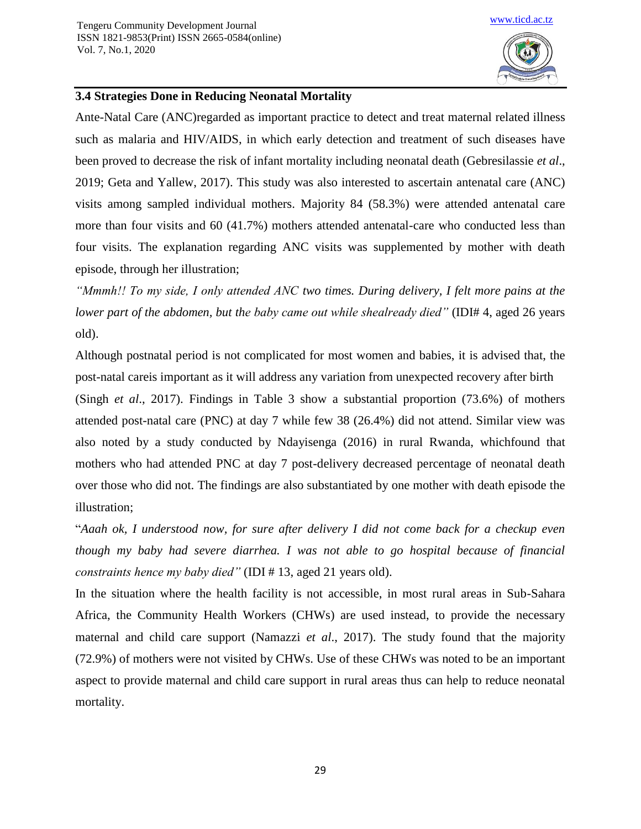

## **3.4 Strategies Done in Reducing Neonatal Mortality**

Ante-Natal Care (ANC)regarded as important practice to detect and treat maternal related illness such as malaria and HIV/AIDS, in which early detection and treatment of such diseases have been proved to decrease the risk of infant mortality including neonatal death (Gebresilassie *et al*., 2019; Geta and Yallew, 2017). This study was also interested to ascertain antenatal care (ANC) visits among sampled individual mothers. Majority 84 (58.3%) were attended antenatal care more than four visits and 60 (41.7%) mothers attended antenatal-care who conducted less than four visits. The explanation regarding ANC visits was supplemented by mother with death episode, through her illustration;

*"Mmmh!! To my side, I only attended ANC two times. During delivery, I felt more pains at the lower part of the abdomen, but the baby came out while shealready died"* (IDI# 4, aged 26 years old).

Although postnatal period is not complicated for most women and babies, it is advised that, the post-natal careis important as it will address any variation from unexpected recovery after birth

(Singh *et al*., 2017). Findings in Table 3 show a substantial proportion (73.6%) of mothers attended post-natal care (PNC) at day 7 while few 38 (26.4%) did not attend. Similar view was also noted by a study conducted by Ndayisenga (2016) in rural Rwanda, whichfound that mothers who had attended PNC at day 7 post-delivery decreased percentage of neonatal death over those who did not. The findings are also substantiated by one mother with death episode the illustration;

"*Aaah ok, I understood now, for sure after delivery I did not come back for a checkup even though my baby had severe diarrhea. I was not able to go hospital because of financial constraints hence my baby died"* (IDI # 13, aged 21 years old).

In the situation where the health facility is not accessible, in most rural areas in Sub-Sahara Africa, the Community Health Workers (CHWs) are used instead, to provide the necessary maternal and child care support (Namazzi *et al*., 2017). The study found that the majority (72.9%) of mothers were not visited by CHWs. Use of these CHWs was noted to be an important aspect to provide maternal and child care support in rural areas thus can help to reduce neonatal mortality.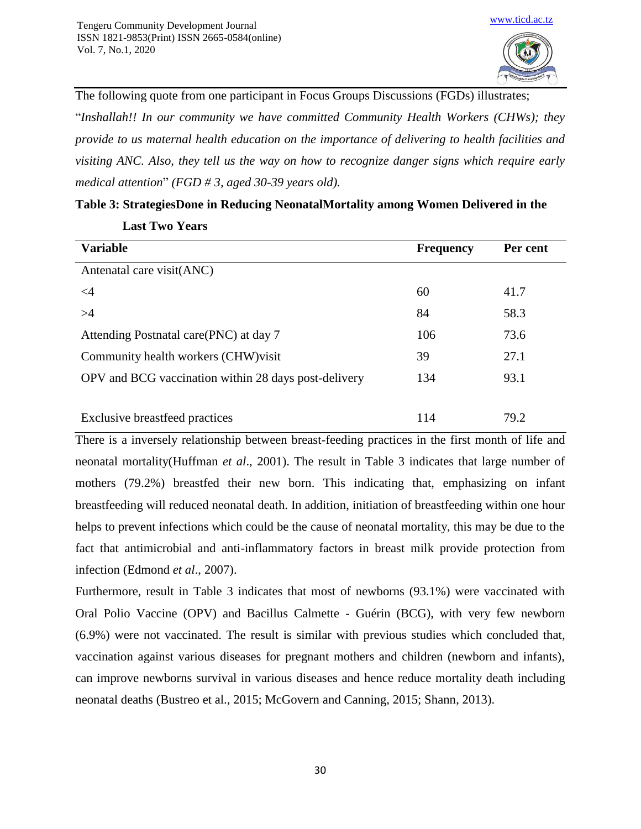**Last Two Years**



The following quote from one participant in Focus Groups Discussions (FGDs) illustrates;

"*Inshallah!! In our community we have committed Community Health Workers (CHWs); they provide to us maternal health education on the importance of delivering to health facilities and visiting ANC. Also, they tell us the way on how to recognize danger signs which require early medical attention*" *(FGD # 3, aged 30-39 years old).*

| <b>Variable</b>                                      | <b>Frequency</b> | Per cent |
|------------------------------------------------------|------------------|----------|
| Antenatal care visit(ANC)                            |                  |          |
| $\leq$ 4                                             | 60               | 41.7     |
| >4                                                   | 84               | 58.3     |
| Attending Postnatal care(PNC) at day 7               | 106              | 73.6     |
| Community health workers (CHW) visit                 | 39               | 27.1     |
| OPV and BCG vaccination within 28 days post-delivery | 134              | 93.1     |
|                                                      |                  |          |
| Exclusive breastfeed practices                       | 114              | 79.2     |

#### **Table 3: StrategiesDone in Reducing NeonatalMortality among Women Delivered in the**

There is a inversely relationship between breast-feeding practices in the first month of life and neonatal mortality(Huffman *et al*., 2001). The result in Table 3 indicates that large number of mothers (79.2%) breastfed their new born. This indicating that, emphasizing on infant breastfeeding will reduced neonatal death. In addition, initiation of breastfeeding within one hour helps to prevent infections which could be the cause of neonatal mortality, this may be due to the fact that antimicrobial and anti-inflammatory factors in breast milk provide protection from infection (Edmond *et al*., 2007).

Furthermore, result in Table 3 indicates that most of newborns (93.1%) were vaccinated with Oral Polio Vaccine (OPV) and Bacillus Calmette - Guérin (BCG), with very few newborn (6.9%) were not vaccinated. The result is similar with previous studies which concluded that, vaccination against various diseases for pregnant mothers and children (newborn and infants), can improve newborns survival in various diseases and hence reduce mortality death including neonatal deaths (Bustreo et al., 2015; McGovern and Canning, 2015; Shann, 2013).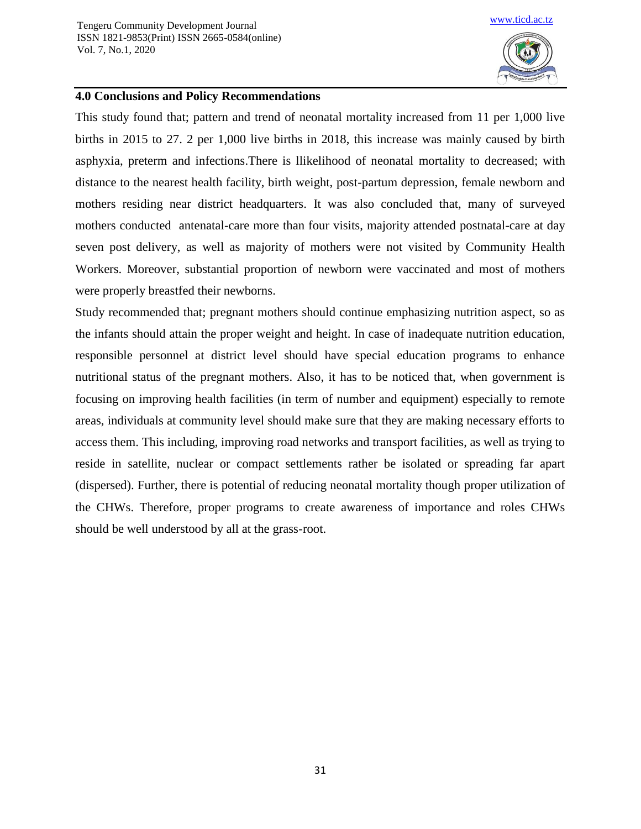

#### **4.0 Conclusions and Policy Recommendations**

This study found that; pattern and trend of neonatal mortality increased from 11 per 1,000 live births in 2015 to 27. 2 per 1,000 live births in 2018, this increase was mainly caused by birth asphyxia, preterm and infections.There is llikelihood of neonatal mortality to decreased; with distance to the nearest health facility, birth weight, post-partum depression, female newborn and mothers residing near district headquarters. It was also concluded that, many of surveyed mothers conducted antenatal-care more than four visits, majority attended postnatal-care at day seven post delivery, as well as majority of mothers were not visited by Community Health Workers. Moreover, substantial proportion of newborn were vaccinated and most of mothers were properly breastfed their newborns.

Study recommended that; pregnant mothers should continue emphasizing nutrition aspect, so as the infants should attain the proper weight and height. In case of inadequate nutrition education, responsible personnel at district level should have special education programs to enhance nutritional status of the pregnant mothers. Also, it has to be noticed that, when government is focusing on improving health facilities (in term of number and equipment) especially to remote areas, individuals at community level should make sure that they are making necessary efforts to access them. This including, improving road networks and transport facilities, as well as trying to reside in satellite, nuclear or compact settlements rather be isolated or spreading far apart (dispersed). Further, there is potential of reducing neonatal mortality though proper utilization of the CHWs. Therefore, proper programs to create awareness of importance and roles CHWs should be well understood by all at the grass-root.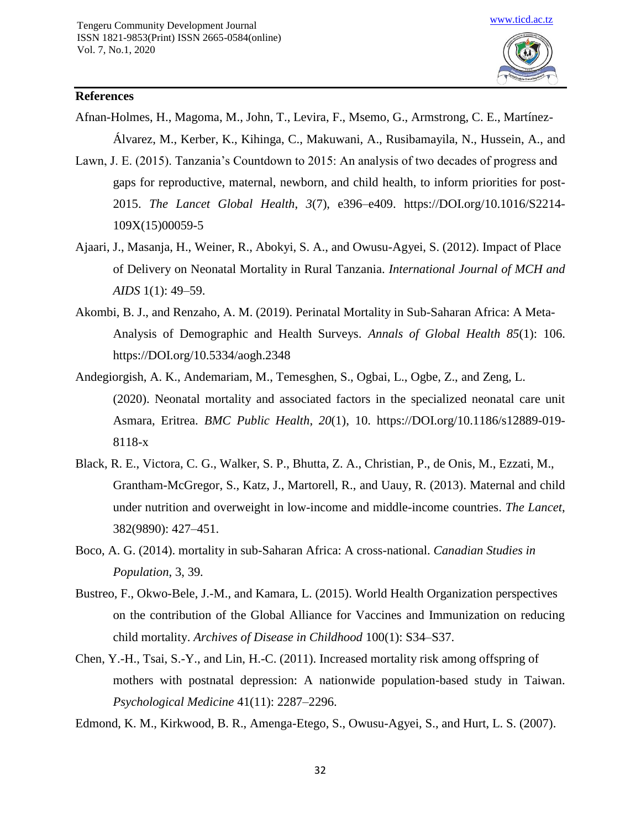

#### **References**

- Afnan-Holmes, H., Magoma, M., John, T., Levira, F., Msemo, G., Armstrong, C. E., Martínez-Álvarez, M., Kerber, K., Kihinga, C., Makuwani, A., Rusibamayila, N., Hussein, A., and
- Lawn, J. E. (2015). Tanzania's Countdown to 2015: An analysis of two decades of progress and gaps for reproductive, maternal, newborn, and child health, to inform priorities for post-2015. *The Lancet Global Health*, *3*(7), e396–e409. https://DOI.org/10.1016/S2214- 109X(15)00059-5
- Ajaari, J., Masanja, H., Weiner, R., Abokyi, S. A., and Owusu-Agyei, S. (2012). Impact of Place of Delivery on Neonatal Mortality in Rural Tanzania. *International Journal of MCH and AIDS* 1(1): 49–59.
- Akombi, B. J., and Renzaho, A. M. (2019). Perinatal Mortality in Sub-Saharan Africa: A Meta-Analysis of Demographic and Health Surveys. *Annals of Global Health 85*(1): 106. https://DOI.org/10.5334/aogh.2348
- Andegiorgish, A. K., Andemariam, M., Temesghen, S., Ogbai, L., Ogbe, Z., and Zeng, L. (2020). Neonatal mortality and associated factors in the specialized neonatal care unit Asmara, Eritrea. *BMC Public Health*, *20*(1), 10. https://DOI.org/10.1186/s12889-019- 8118-x
- Black, R. E., Victora, C. G., Walker, S. P., Bhutta, Z. A., Christian, P., de Onis, M., Ezzati, M., Grantham-McGregor, S., Katz, J., Martorell, R., and Uauy, R. (2013). Maternal and child under nutrition and overweight in low-income and middle-income countries. *The Lancet*, 382(9890): 427–451.
- Boco, A. G. (2014). mortality in sub-Saharan Africa: A cross-national. *Canadian Studies in Population*, 3, 39*.*
- Bustreo, F., Okwo-Bele, J.-M., and Kamara, L. (2015). World Health Organization perspectives on the contribution of the Global Alliance for Vaccines and Immunization on reducing child mortality. *Archives of Disease in Childhood* 100(1): S34–S37.
- Chen, Y.-H., Tsai, S.-Y., and Lin, H.-C. (2011). Increased mortality risk among offspring of mothers with postnatal depression: A nationwide population-based study in Taiwan. *Psychological Medicine* 41(11): 2287–2296.
- Edmond, K. M., Kirkwood, B. R., Amenga-Etego, S., Owusu-Agyei, S., and Hurt, L. S. (2007).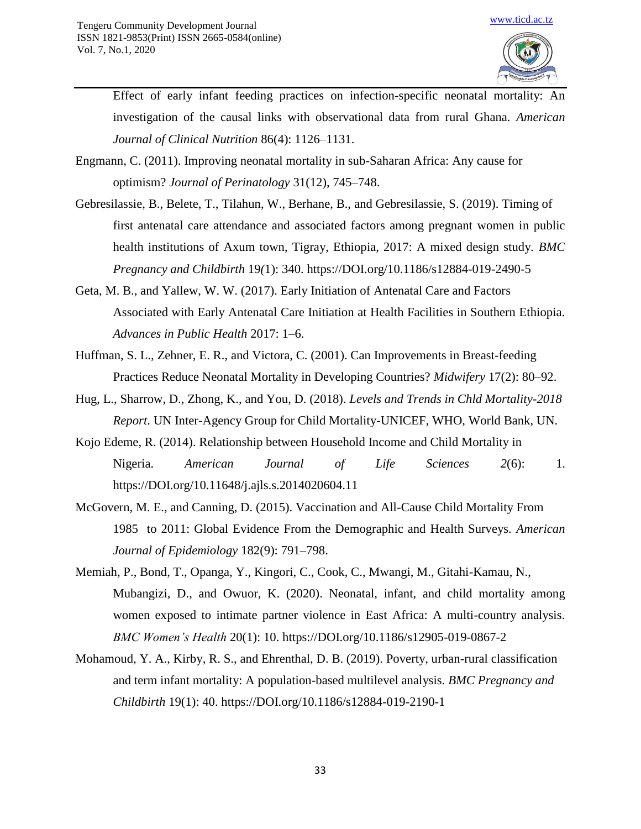

Effect of early infant feeding practices on infection-specific neonatal mortality: An investigation of the causal links with observational data from rural Ghana. *American Journal of Clinical Nutrition* 86(4): 1126–1131.

- Engmann, C. (2011). Improving neonatal mortality in sub-Saharan Africa: Any cause for optimism? *Journal of Perinatology* 31(12), 745–748.
- Gebresilassie, B., Belete, T., Tilahun, W., Berhane, B., and Gebresilassie, S. (2019). Timing of first antenatal care attendance and associated factors among pregnant women in public health institutions of Axum town, Tigray, Ethiopia, 2017: A mixed design study. *BMC Pregnancy and Childbirth* 19*(*1): 340. https://DOI.org/10.1186/s12884-019-2490-5
- Geta, M. B., and Yallew, W. W. (2017). Early Initiation of Antenatal Care and Factors Associated with Early Antenatal Care Initiation at Health Facilities in Southern Ethiopia. *Advances in Public Health* 2017: 1–6.
- Huffman, S. L., Zehner, E. R., and Victora, C. (2001). Can Improvements in Breast-feeding Practices Reduce Neonatal Mortality in Developing Countries? *Midwifery* 17(2): 80–92.
- Hug, L., Sharrow, D., Zhong, K., and You, D. (2018). *Levels and Trends in Chld Mortality-2018 Report*. UN Inter-Agency Group for Child Mortality-UNICEF, WHO, World Bank, UN.
- Kojo Edeme, R. (2014). Relationship between Household Income and Child Mortality in Nigeria. *American Journal of Life Sciences 2*(6): 1. https://DOI.org/10.11648/j.ajls.s.2014020604.11
- McGovern, M. E., and Canning, D. (2015). Vaccination and All-Cause Child Mortality From 1985 to 2011: Global Evidence From the Demographic and Health Surveys. *American Journal of Epidemiology* 182(9): 791–798.
- Memiah, P., Bond, T., Opanga, Y., Kingori, C., Cook, C., Mwangi, M., Gitahi-Kamau, N., Mubangizi, D., and Owuor, K. (2020). Neonatal, infant, and child mortality among women exposed to intimate partner violence in East Africa: A multi-country analysis. *BMC Women's Health* 20(1): 10. https://DOI.org/10.1186/s12905-019-0867-2
- Mohamoud, Y. A., Kirby, R. S., and Ehrenthal, D. B. (2019). Poverty, urban-rural classification and term infant mortality: A population-based multilevel analysis. *BMC Pregnancy and Childbirth* 19(1): 40. https://DOI.org/10.1186/s12884-019-2190-1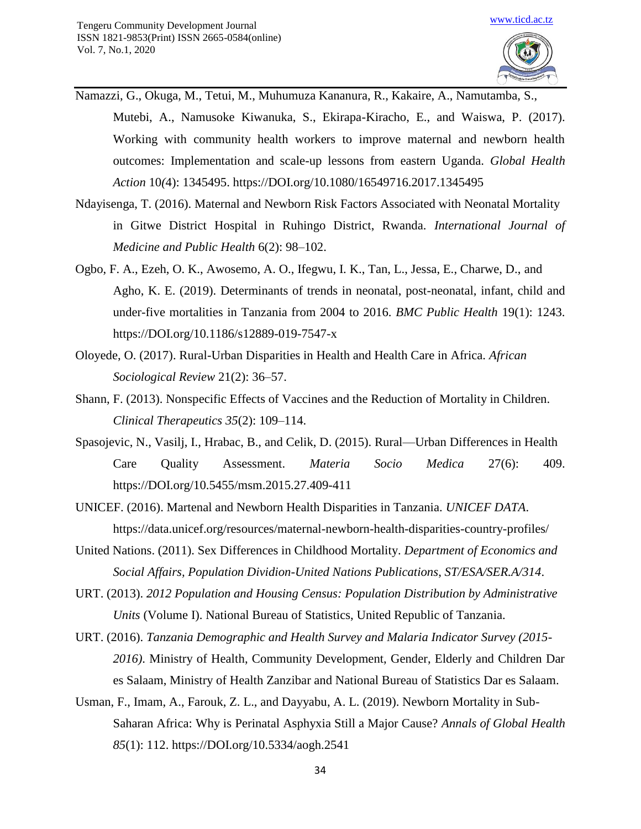- Namazzi, G., Okuga, M., Tetui, M., Muhumuza Kananura, R., Kakaire, A., Namutamba, S., Mutebi, A., Namusoke Kiwanuka, S., Ekirapa-Kiracho, E., and Waiswa, P. (2017). Working with community health workers to improve maternal and newborn health outcomes: Implementation and scale-up lessons from eastern Uganda. *Global Health Action* 10*(*4): 1345495. https://DOI.org/10.1080/16549716.2017.1345495
- Ndayisenga, T. (2016). Maternal and Newborn Risk Factors Associated with Neonatal Mortality in Gitwe District Hospital in Ruhingo District, Rwanda. *International Journal of Medicine and Public Health* 6(2): 98–102.
- Ogbo, F. A., Ezeh, O. K., Awosemo, A. O., Ifegwu, I. K., Tan, L., Jessa, E., Charwe, D., and Agho, K. E. (2019). Determinants of trends in neonatal, post-neonatal, infant, child and under-five mortalities in Tanzania from 2004 to 2016. *BMC Public Health* 19(1): 1243. https://DOI.org/10.1186/s12889-019-7547-x
- Oloyede, O. (2017). Rural-Urban Disparities in Health and Health Care in Africa. *African Sociological Review* 21(2): 36–57.
- Shann, F. (2013). Nonspecific Effects of Vaccines and the Reduction of Mortality in Children. *Clinical Therapeutics 35*(2): 109–114.
- Spasojevic, N., Vasilj, I., Hrabac, B., and Celik, D. (2015). Rural—Urban Differences in Health Care Quality Assessment. *Materia Socio Medica* 27(6): 409. https://DOI.org/10.5455/msm.2015.27.409-411
- UNICEF. (2016). Martenal and Newborn Health Disparities in Tanzania. *UNICEF DATA*. https://data.unicef.org/resources/maternal-newborn-health-disparities-country-profiles/
- United Nations. (2011). Sex Differences in Childhood Mortality. *Department of Economics and Social Affairs, Population Dividion-United Nations Publications*, *ST/ESA/SER.A/314*.
- URT. (2013). *2012 Population and Housing Census: Population Distribution by Administrative Units* (Volume I). National Bureau of Statistics, United Republic of Tanzania.
- URT. (2016). *Tanzania Demographic and Health Survey and Malaria Indicator Survey (2015- 2016)*. Ministry of Health, Community Development, Gender, Elderly and Children Dar es Salaam, Ministry of Health Zanzibar and National Bureau of Statistics Dar es Salaam.
- Usman, F., Imam, A., Farouk, Z. L., and Dayyabu, A. L. (2019). Newborn Mortality in Sub-Saharan Africa: Why is Perinatal Asphyxia Still a Major Cause? *Annals of Global Health 85*(1): 112. https://DOI.org/10.5334/aogh.2541